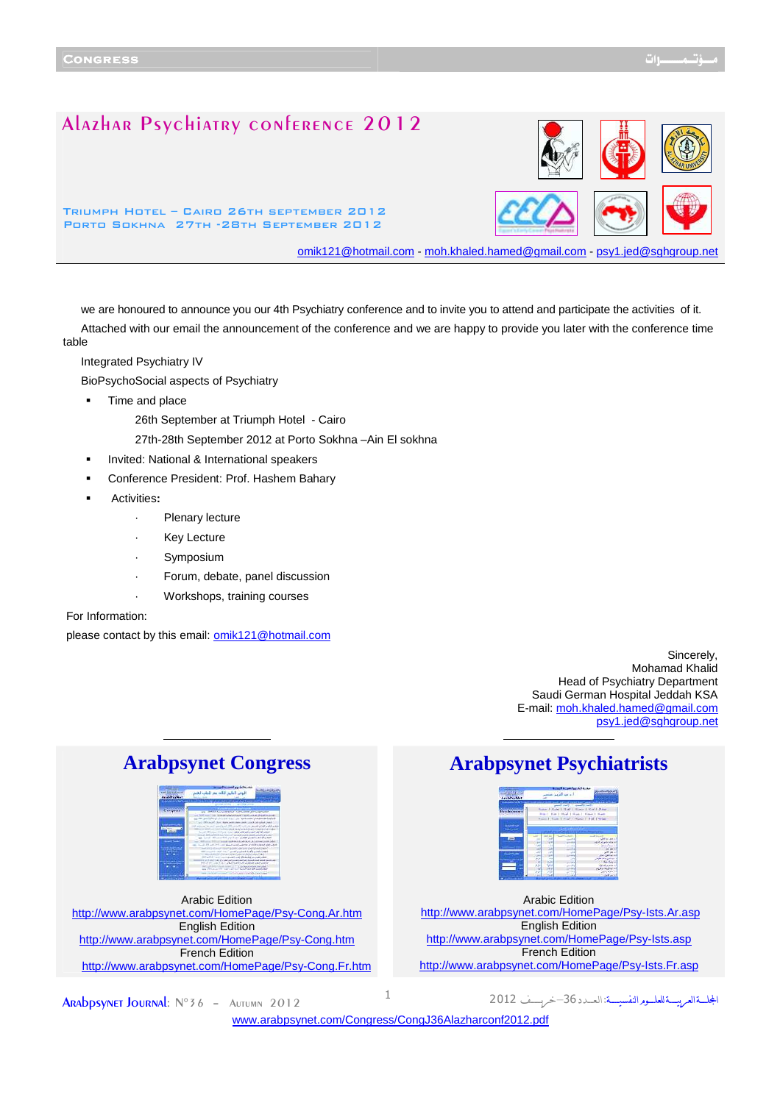# Alazhar Psychiatry conference 2012

Triumph Hotel – Cairo 26th september 2012 Porto Sokhna 27th -28th September 2012



omik121@hotmail.com - moh.khaled.hamed@gmail.com - psy1.jed@sghgroup.ne

we are honoured to announce you our 4th Psychiatry conference and to invite you to attend and participate the activities of it. Attached with our email the announcement of the conference and we are happy to provide you later with the conference time table

Integrated Psychiatry IV

BioPsychoSocial aspects of Psychiatry

**Time and place** 

26th September at Triumph Hotel - Cairo

- 27th-28th September 2012 at Porto Sokhna –Ain El sokhna
- Invited: National & International speakers
- Conference President: Prof. Hashem Bahary
- Activities**:** 
	- Plenary lecture
	- **Key Lecture**
	- **Symposium**
	- Forum, debate, panel discussion
	- Workshops, training courses

For Information:

please contact by this email: omik121@hotmail.com

Sincerely, Mohamad Khalid Head of Psychiatry Department Saudi German Hospital Jeddah KSA E-mail: moh.khaled.hamed@gmail.com psy1.jed@sghgroup.net

المجلسةالعربيسةللعلسور النفسيسة



Arabic Edition <http://www.arabpsynet.com/HomePage/Psy-Cong.Ar.htm> English Edition <http://www.arabpsynet.com/HomePage/Psy-Cong.htm> French Edition <http://www.arabpsynet.com/HomePage/Psy-Cong.Fr.htm>

# **Arabpsynet Congress Arabpsynet Psychiatrists**



Arabic Edition <http://www.arabpsynet.com/HomePage/Psy-Ists.Ar.asp> English Edition <http://www.arabpsynet.com/HomePage/Psy-Ists.asp> French Edition <http://www.arabpsynet.com/HomePage/Psy-Ists.Fr.asp>

**ARADPSYNET JOURNAL:**  $N^{\circ}36$  - Autumn 2012  $1$ 

<www.arabpsynet.com/Congress/CongJ36Alazharconf2012.pdf>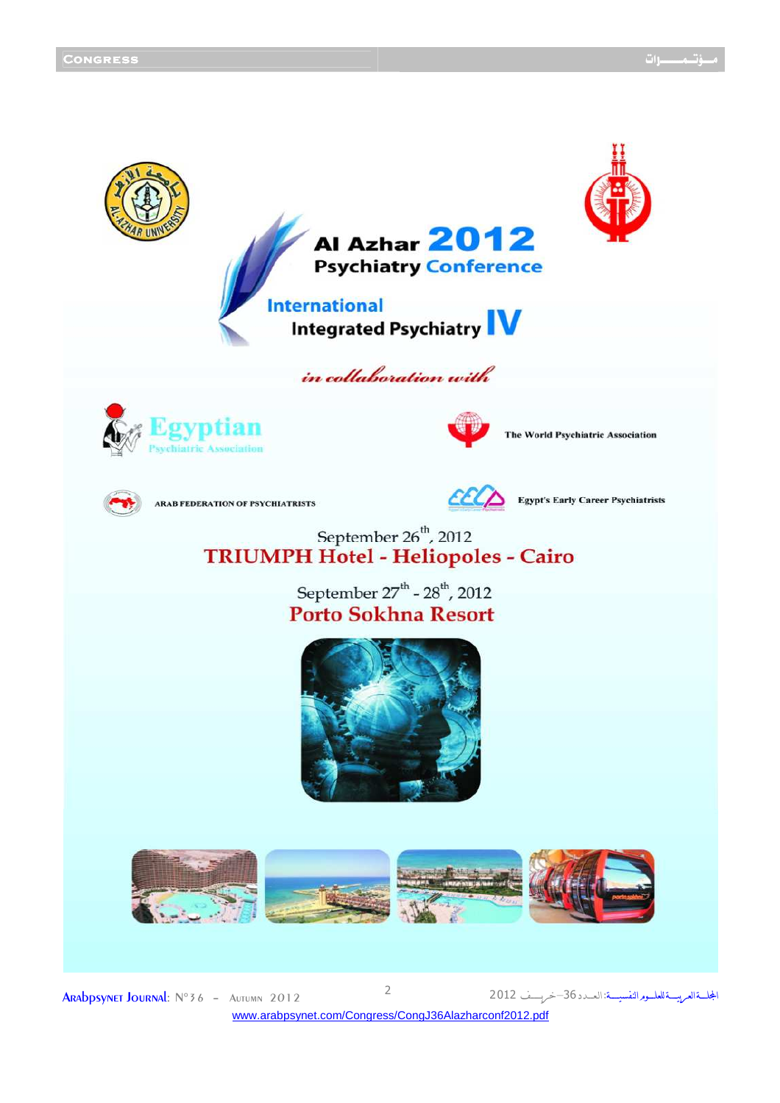

**ARADPSYNET JOURNAL:**  $N^{\circ}36$  - Autumn 2012 <www.arabpsynet.com/Congress/CongJ36Alazharconf2012.pdf>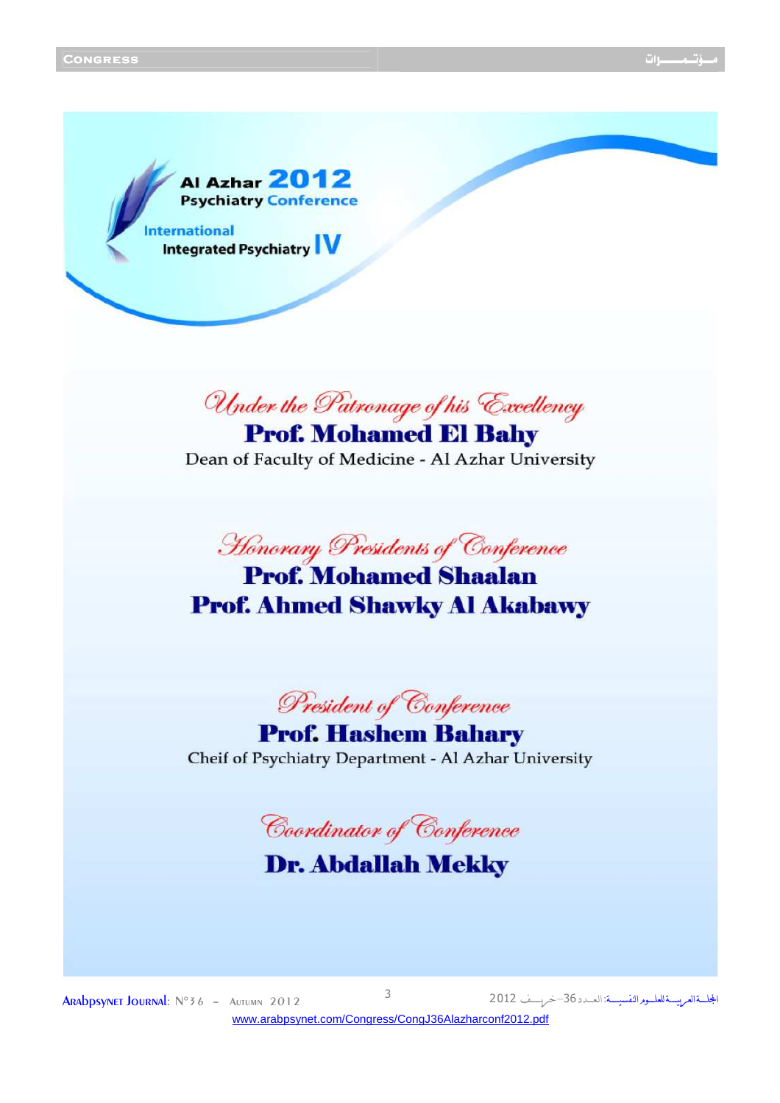المجلسةالعربيسةللعلسور النفسيسة

Al Azhar 2012 **Psychiatry Conference International Integrated Psychiatry IV** 

Under the Patronage of his Excellency

**Prof. Mohamed El Bahy** Dean of Faculty of Medicine - Al Azhar University

Honorary Presidents of Conference

# **Prof. Mohamed Shaalan Prof. Ahmed Shawky Al Akabawy**

President of Conference

**Prof. Hashem Bahary** Cheif of Psychiatry Department - Al Azhar University

Coordinator of Conference

# **Dr. Abdallah Mekky**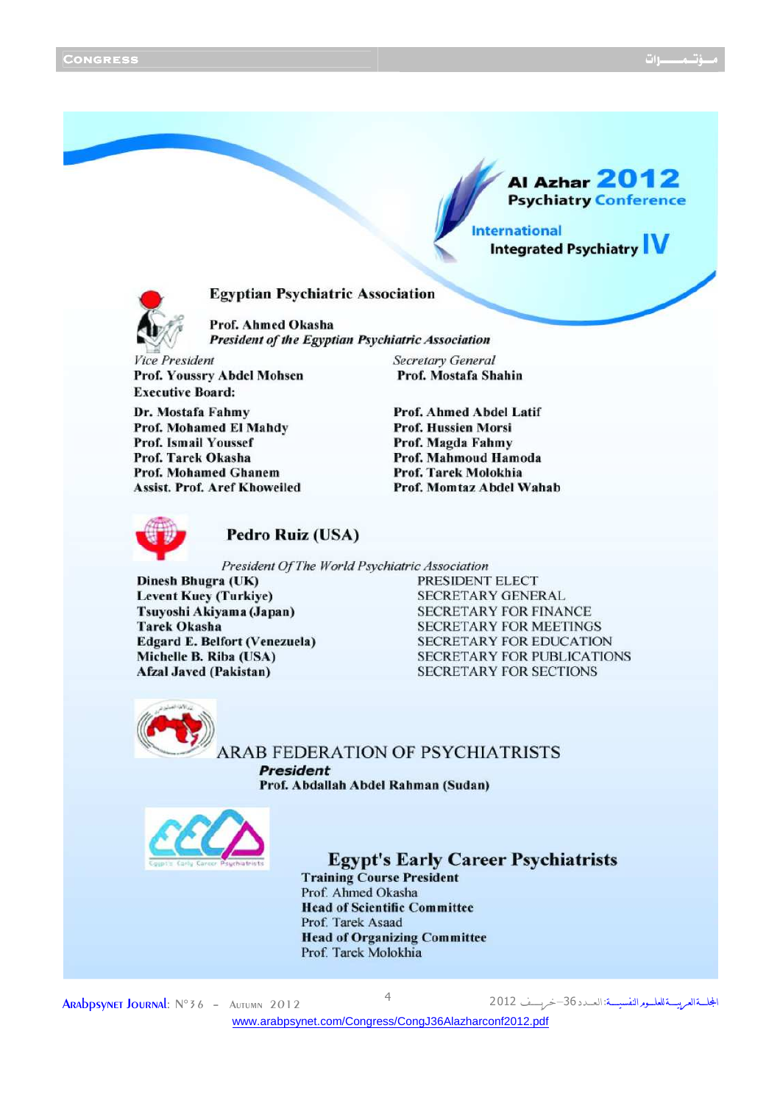**Al Azhar 2012 Psychiatry Conference** 

**Integrated Psychiatry** 

## **Egyptian Psychiatric Association**



Prof. Ahmed Okasha **President of the Egyptian Psychiatric Association** 

**Vice President** Prof. Youssry Abdel Mohsen **Executive Board:** 

Dr. Mostafa Fahmy Prof. Mohamed El Mahdy **Prof. Ismail Youssef** Prof. Tarek Okasha **Prof. Mohamed Ghanem Assist. Prof. Aref Khoweiled**  **Secretary General** Prof. Mostafa Shahin

**Prof. Ahmed Abdel Latif Prof. Hussien Morsi** Prof. Magda Fahmy Prof. Mahmoud Hamoda Prof. Tarek Molokhia Prof. Momtaz Abdel Wahab



### Pedro Ruiz (USA)

President Of The World Psychiatric Association

Dinesh Bhugra (UK) **Levent Kuey (Turkiye)** Tsuyoshi Akiyama (Japan) **Tarek Okasha Edgard E. Belfort (Venezuela)** Michelle B. Riba (USA) **Afzal Javed (Pakistan)** 

PRESIDENT ELECT **SECRETARY GENERAL SECRETARY FOR FINANCE SECRETARY FOR MEETINGS SECRETARY FOR EDUCATION SECRETARY FOR PUBLICATIONS SECRETARY FOR SECTIONS** 

**International** 



**ARAB FEDERATION OF PSYCHIATRISTS President** 

Prof. Abdallah Abdel Rahman (Sudan)



# **Egypt's Early Career Psychiatrists**

**Training Course President** Prof. Ahmed Okasha **Head of Scientific Committee** Prof. Tarek Asaad **Head of Organizing Committee** Prof. Tarek Molokhia

ARADPSYNET JOURNAL: N°36 - AUTUMN 2012 <www.arabpsynet.com/Congress/CongJ36Alazharconf2012.pdf>

المجلسةالعربيسة للعلسور النفسيسة